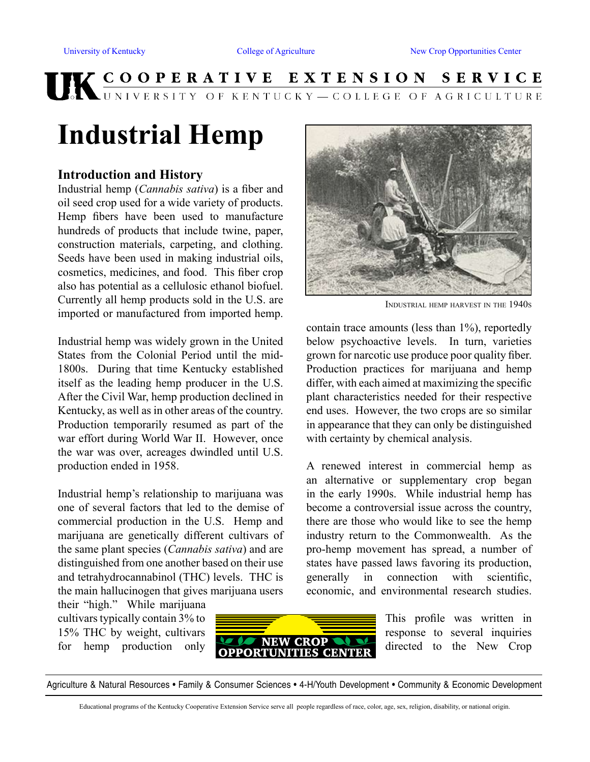# UK COOPERATIVE EXTENSION SERVICE

# **Industrial Hemp**

#### **Introduction and History**

Industrial hemp (*Cannabis sativa*) is a fiber and oil seed crop used for a wide variety of products. Hemp fibers have been used to manufacture hundreds of products that include twine, paper, construction materials, carpeting, and clothing. Seeds have been used in making industrial oils, cosmetics, medicines, and food. This fiber crop also has potential as a cellulosic ethanol biofuel. Currently all hemp products sold in the U.S. are imported or manufactured from imported hemp.

Industrial hemp was widely grown in the United States from the Colonial Period until the mid-1800s. During that time Kentucky established itself as the leading hemp producer in the U.S. After the Civil War, hemp production declined in Kentucky, as well as in other areas of the country. Production temporarily resumed as part of the war effort during World War II. However, once the war was over, acreages dwindled until U.S. production ended in 1958.

Industrial hemp's relationship to marijuana was one of several factors that led to the demise of commercial production in the U.S. Hemp and marijuana are genetically different cultivars of the same plant species (*Cannabis sativa*) and are distinguished from one another based on their use and tetrahydrocannabinol (THC) levels. THC is the main hallucinogen that gives marijuana users

their "high." While marijuana cultivars typically contain 3% to 15% THC by weight, cultivars for hemp production only



This profile was written in response to several inquiries directed to the New Crop

Agriculture & Natural Resources • Family & Consumer Sciences • 4-H/Youth Development • Community & Economic Development



Industrial hemp harvest in the 1940s

contain trace amounts (less than 1%), reportedly below psychoactive levels. In turn, varieties grown for narcotic use produce poor quality fiber. Production practices for marijuana and hemp differ, with each aimed at maximizing the specific plant characteristics needed for their respective end uses. However, the two crops are so similar in appearance that they can only be distinguished with certainty by chemical analysis.

A renewed interest in commercial hemp as an alternative or supplementary crop began in the early 1990s. While industrial hemp has become a controversial issue across the country, there are those who would like to see the hemp industry return to the Commonwealth. As the pro-hemp movement has spread, a number of states have passed laws favoring its production, generally in connection with scientific, economic, and environmental research studies.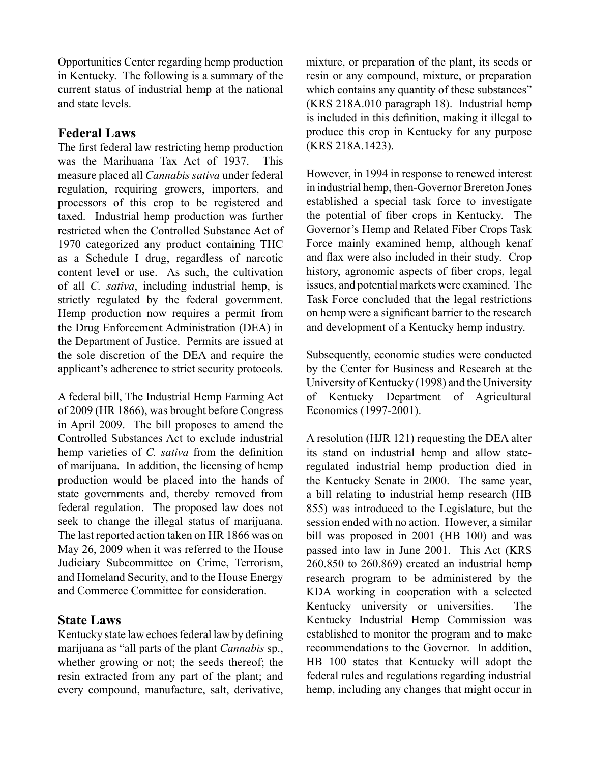Opportunities Center regarding hemp production in Kentucky. The following is a summary of the current status of industrial hemp at the national and state levels.

#### **Federal Laws**

The first federal law restricting hemp production was the Marihuana Tax Act of 1937. This measure placed all *Cannabis sativa* under federal regulation, requiring growers, importers, and processors of this crop to be registered and taxed. Industrial hemp production was further restricted when the Controlled Substance Act of 1970 categorized any product containing THC as a Schedule I drug, regardless of narcotic content level or use. As such, the cultivation of all *C. sativa*, including industrial hemp, is strictly regulated by the federal government. Hemp production now requires a permit from the Drug Enforcement Administration (DEA) in the Department of Justice. Permits are issued at the sole discretion of the DEA and require the applicant's adherence to strict security protocols.

A federal bill, The Industrial Hemp Farming Act of 2009 (HR 1866), was brought before Congress in April 2009. The bill proposes to amend the Controlled Substances Act to exclude industrial hemp varieties of *C. sativa* from the definition of marijuana. In addition, the licensing of hemp production would be placed into the hands of state governments and, thereby removed from federal regulation. The proposed law does not seek to change the illegal status of marijuana. The last reported action taken on HR 1866 was on May 26, 2009 when it was referred to the House Judiciary Subcommittee on Crime, Terrorism, and Homeland Security, and to the House Energy and Commerce Committee for consideration.

# **State Laws**

Kentucky state law echoes federal law by defining marijuana as "all parts of the plant *Cannabis* sp., whether growing or not; the seeds thereof; the resin extracted from any part of the plant; and every compound, manufacture, salt, derivative,

mixture, or preparation of the plant, its seeds or resin or any compound, mixture, or preparation which contains any quantity of these substances" (KRS 218A.010 paragraph 18). Industrial hemp is included in this definition, making it illegal to produce this crop in Kentucky for any purpose (KRS 218A.1423).

However, in 1994 in response to renewed interest in industrial hemp, then-Governor Brereton Jones established a special task force to investigate the potential of fiber crops in Kentucky. The Governor's Hemp and Related Fiber Crops Task Force mainly examined hemp, although kenaf and flax were also included in their study. Crop history, agronomic aspects of fiber crops, legal issues, and potential markets were examined. The Task Force concluded that the legal restrictions on hemp were a significant barrier to the research and development of a Kentucky hemp industry.

Subsequently, economic studies were conducted by the Center for Business and Research at the University of Kentucky (1998) and the University of Kentucky Department of Agricultural Economics (1997-2001).

A resolution (HJR 121) requesting the DEA alter its stand on industrial hemp and allow stateregulated industrial hemp production died in the Kentucky Senate in 2000. The same year, a bill relating to industrial hemp research (HB 855) was introduced to the Legislature, but the session ended with no action. However, a similar bill was proposed in 2001 (HB 100) and was passed into law in June 2001. This Act (KRS 260.850 to 260.869) created an industrial hemp research program to be administered by the KDA working in cooperation with a selected Kentucky university or universities. The Kentucky Industrial Hemp Commission was established to monitor the program and to make recommendations to the Governor. In addition, HB 100 states that Kentucky will adopt the federal rules and regulations regarding industrial hemp, including any changes that might occur in